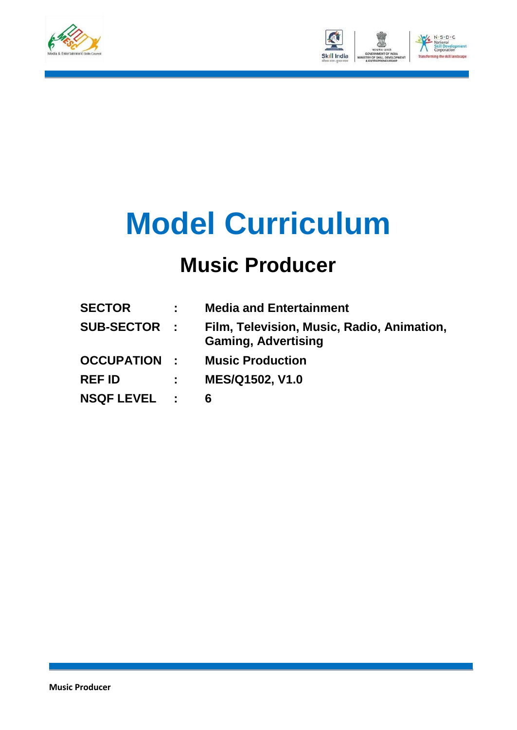



# **Model Curriculum**

### **Music Producer**

| <b>SECTOR</b>       |             | <b>Media and Entertainment</b>                                           |
|---------------------|-------------|--------------------------------------------------------------------------|
| <b>SUB-SECTOR :</b> |             | Film, Television, Music, Radio, Animation,<br><b>Gaming, Advertising</b> |
| <b>OCCUPATION :</b> |             | <b>Music Production</b>                                                  |
| <b>REF ID</b>       | $\sim 1000$ | <b>MES/Q1502, V1.0</b>                                                   |
| <b>NSQF LEVEL :</b> |             | 6                                                                        |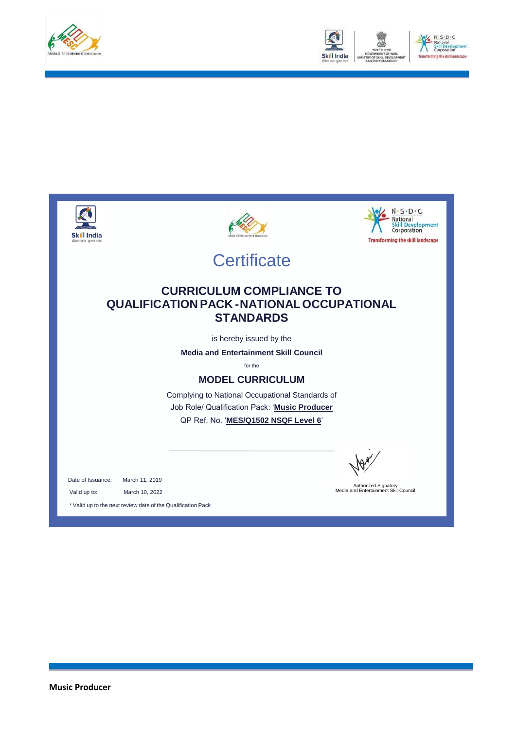



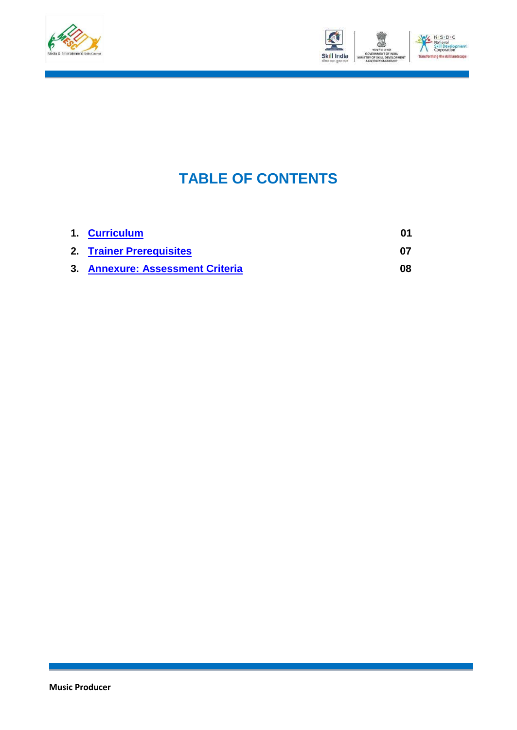



### **TABLE OF CONTENTS**

| 1. Curriculum                    |    |
|----------------------------------|----|
| 2. Trainer Prerequisites         | በ7 |
| 3. Annexure: Assessment Criteria | 08 |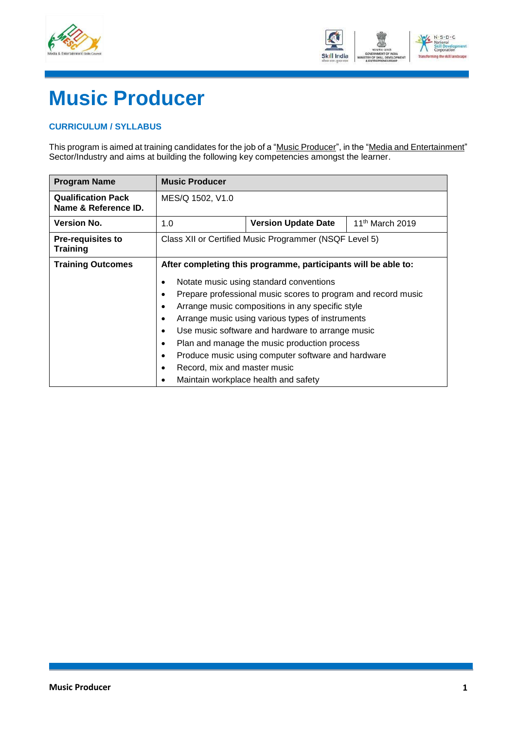



## **Music Producer**

#### <span id="page-3-0"></span>**CURRICULUM / SYLLABUS**

This program is aimed at training candidates for the job of a "<u>Music Producer</u>", in the "<u>Media and Entertainment</u>" Sector/Industry and aims at building the following key competencies amongst the learner.

| <b>Program Name</b>                               | <b>Music Producer</b>                                                      |                                                                |                             |
|---------------------------------------------------|----------------------------------------------------------------------------|----------------------------------------------------------------|-----------------------------|
| <b>Qualification Pack</b><br>Name & Reference ID. | MES/Q 1502, V1.0                                                           |                                                                |                             |
| <b>Version No.</b>                                | 1.0                                                                        | <b>Version Update Date</b>                                     | 11 <sup>th</sup> March 2019 |
| <b>Pre-requisites to</b><br><b>Training</b>       | Class XII or Certified Music Programmer (NSQF Level 5)                     |                                                                |                             |
| <b>Training Outcomes</b>                          |                                                                            | After completing this programme, participants will be able to: |                             |
|                                                   | Notate music using standard conventions<br>٠                               |                                                                |                             |
|                                                   | Prepare professional music scores to program and record music<br>$\bullet$ |                                                                |                             |
|                                                   | ٠                                                                          | Arrange music compositions in any specific style               |                             |
|                                                   | $\bullet$                                                                  | Arrange music using various types of instruments               |                             |
|                                                   | Use music software and hardware to arrange music<br>$\bullet$              |                                                                |                             |
|                                                   | Plan and manage the music production process<br>٠                          |                                                                |                             |
|                                                   | Produce music using computer software and hardware<br>$\bullet$            |                                                                |                             |
|                                                   | Record, mix and master music<br>$\bullet$                                  |                                                                |                             |
|                                                   |                                                                            | Maintain workplace health and safety                           |                             |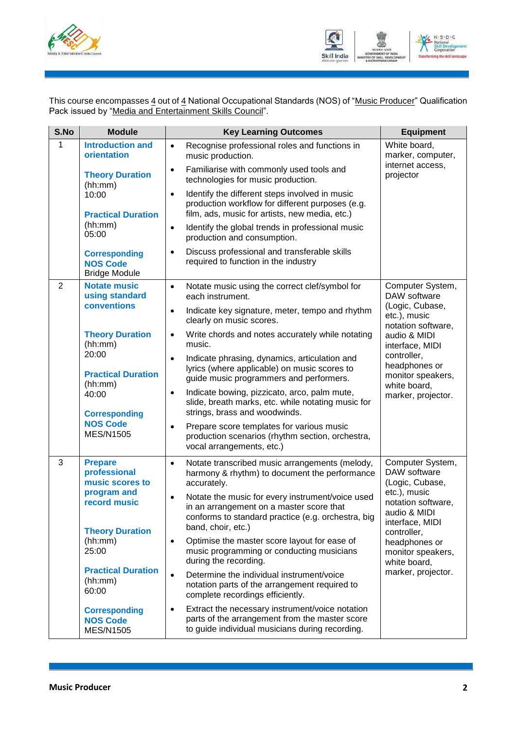



This course encompasses <u>4</u> out of <u>4</u> National Occupational Standards (NOS) of "<u>Music Producer</u>" Qualification Pack issued by "Media and Entertainment Skills Council".

| S.No           | <b>Module</b>                                                                                                                                                                                                                                  | <b>Key Learning Outcomes</b>                                                                                                                                                                                                                                                                                                                                                                                                                                                                                                                                                                                                                                                                                                                                                | <b>Equipment</b>                                                                                                                                                                                                        |  |
|----------------|------------------------------------------------------------------------------------------------------------------------------------------------------------------------------------------------------------------------------------------------|-----------------------------------------------------------------------------------------------------------------------------------------------------------------------------------------------------------------------------------------------------------------------------------------------------------------------------------------------------------------------------------------------------------------------------------------------------------------------------------------------------------------------------------------------------------------------------------------------------------------------------------------------------------------------------------------------------------------------------------------------------------------------------|-------------------------------------------------------------------------------------------------------------------------------------------------------------------------------------------------------------------------|--|
| 1              | <b>Introduction and</b><br>orientation<br><b>Theory Duration</b>                                                                                                                                                                               | Recognise professional roles and functions in<br>$\bullet$<br>music production.<br>Familiarise with commonly used tools and<br>$\bullet$<br>technologies for music production.                                                                                                                                                                                                                                                                                                                                                                                                                                                                                                                                                                                              | White board,<br>marker, computer,<br>internet access,<br>projector                                                                                                                                                      |  |
|                | (hh:mm)<br>10:00<br><b>Practical Duration</b><br>(hh:mm)<br>05:00<br><b>Corresponding</b><br><b>NOS Code</b>                                                                                                                                   | Identify the different steps involved in music<br>$\bullet$<br>production workflow for different purposes (e.g.<br>film, ads, music for artists, new media, etc.)<br>Identify the global trends in professional music<br>$\bullet$<br>production and consumption.<br>Discuss professional and transferable skills<br>$\bullet$<br>required to function in the industry                                                                                                                                                                                                                                                                                                                                                                                                      |                                                                                                                                                                                                                         |  |
| $\overline{2}$ | <b>Bridge Module</b><br><b>Notate music</b><br>using standard<br>conventions<br><b>Theory Duration</b><br>(hh:mm)                                                                                                                              | Notate music using the correct clef/symbol for<br>$\bullet$<br>each instrument.<br>Indicate key signature, meter, tempo and rhythm<br>$\bullet$<br>clearly on music scores.<br>Write chords and notes accurately while notating<br>$\bullet$<br>music.                                                                                                                                                                                                                                                                                                                                                                                                                                                                                                                      | Computer System,<br>DAW software<br>(Logic, Cubase,<br>etc.), music<br>notation software,<br>audio & MIDI<br>interface, MIDI                                                                                            |  |
|                | 20:00<br><b>Practical Duration</b><br>(hh:mm)<br>40:00<br><b>Corresponding</b><br><b>NOS Code</b><br><b>MES/N1505</b>                                                                                                                          | Indicate phrasing, dynamics, articulation and<br>$\bullet$<br>lyrics (where applicable) on music scores to<br>guide music programmers and performers.<br>Indicate bowing, pizzicato, arco, palm mute,<br>$\bullet$<br>slide, breath marks, etc. while notating music for<br>strings, brass and woodwinds.<br>Prepare score templates for various music<br>$\bullet$<br>production scenarios (rhythm section, orchestra,<br>vocal arrangements, etc.)                                                                                                                                                                                                                                                                                                                        | controller,<br>headphones or<br>monitor speakers,<br>white board,<br>marker, projector.                                                                                                                                 |  |
| 3              | <b>Prepare</b><br>professional<br>music scores to<br>program and<br>record music<br><b>Theory Duration</b><br>(hh:mm)<br>25:00<br><b>Practical Duration</b><br>(hh:mm)<br>60:00<br><b>Corresponding</b><br><b>NOS Code</b><br><b>MES/N1505</b> | Notate transcribed music arrangements (melody,<br>$\bullet$<br>harmony & rhythm) to document the performance<br>accurately.<br>Notate the music for every instrument/voice used<br>$\bullet$<br>in an arrangement on a master score that<br>conforms to standard practice (e.g. orchestra, big<br>band, choir, etc.)<br>Optimise the master score layout for ease of<br>$\bullet$<br>music programming or conducting musicians<br>during the recording.<br>Determine the individual instrument/voice<br>$\bullet$<br>notation parts of the arrangement required to<br>complete recordings efficiently.<br>Extract the necessary instrument/voice notation<br>$\bullet$<br>parts of the arrangement from the master score<br>to guide individual musicians during recording. | Computer System,<br>DAW software<br>(Logic, Cubase,<br>etc.), music<br>notation software,<br>audio & MIDI<br>interface, MIDI<br>controller,<br>headphones or<br>monitor speakers,<br>white board,<br>marker, projector. |  |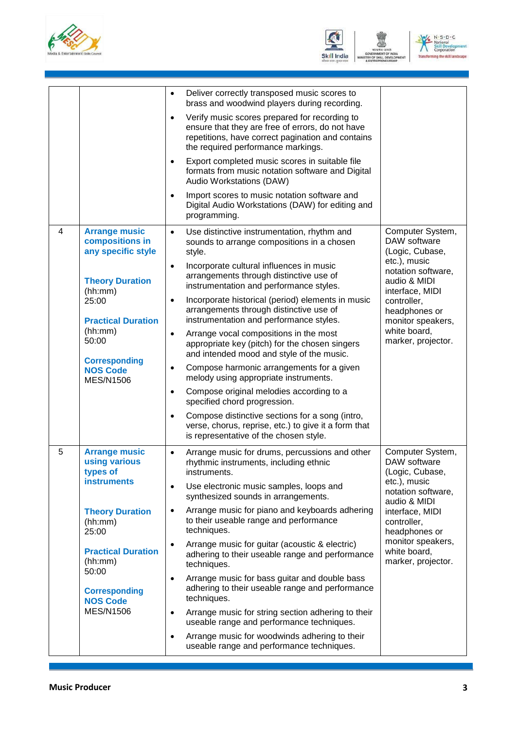





|                  |                                                               | Deliver correctly transposed music scores to<br>$\bullet$<br>brass and woodwind players during recording.                                                                                                 |                                                                       |
|------------------|---------------------------------------------------------------|-----------------------------------------------------------------------------------------------------------------------------------------------------------------------------------------------------------|-----------------------------------------------------------------------|
|                  |                                                               | Verify music scores prepared for recording to<br>$\bullet$<br>ensure that they are free of errors, do not have<br>repetitions, have correct pagination and contains<br>the required performance markings. |                                                                       |
|                  |                                                               | Export completed music scores in suitable file<br>formats from music notation software and Digital<br>Audio Workstations (DAW)                                                                            |                                                                       |
|                  |                                                               | Import scores to music notation software and<br>$\bullet$<br>Digital Audio Workstations (DAW) for editing and<br>programming.                                                                             |                                                                       |
| 4                | <b>Arrange music</b><br>compositions in<br>any specific style | Use distinctive instrumentation, rhythm and<br>$\bullet$<br>sounds to arrange compositions in a chosen<br>style.                                                                                          | Computer System,<br>DAW software<br>(Logic, Cubase,                   |
|                  | <b>Theory Duration</b><br>(hh:mm)                             | Incorporate cultural influences in music<br>$\bullet$<br>arrangements through distinctive use of<br>instrumentation and performance styles.                                                               | etc.), music<br>notation software,<br>audio & MIDI<br>interface, MIDI |
|                  | 25:00<br><b>Practical Duration</b>                            | Incorporate historical (period) elements in music<br>$\bullet$<br>arrangements through distinctive use of<br>instrumentation and performance styles.                                                      | controller,<br>headphones or<br>monitor speakers,                     |
| (hh:mm)<br>50:00 |                                                               | Arrange vocal compositions in the most<br>$\bullet$<br>appropriate key (pitch) for the chosen singers<br>and intended mood and style of the music.                                                        | white board,<br>marker, projector.                                    |
|                  | <b>Corresponding</b><br><b>NOS Code</b><br><b>MES/N1506</b>   | Compose harmonic arrangements for a given<br>$\bullet$<br>melody using appropriate instruments.                                                                                                           |                                                                       |
|                  |                                                               | Compose original melodies according to a<br>$\bullet$<br>specified chord progression.                                                                                                                     |                                                                       |
|                  |                                                               | Compose distinctive sections for a song (intro,<br>verse, chorus, reprise, etc.) to give it a form that<br>is representative of the chosen style.                                                         |                                                                       |
| 5                | <b>Arrange music</b><br>using various<br>types of             | Arrange music for drums, percussions and other<br>$\bullet$<br>rhythmic instruments, including ethnic<br>instruments.                                                                                     | Computer System,<br>DAW software<br>(Logic, Cubase,                   |
|                  | <b>instruments</b>                                            | Use electronic music samples, loops and<br>$\bullet$<br>synthesized sounds in arrangements.                                                                                                               | etc.), music<br>notation software,<br>audio & MIDI                    |
|                  | <b>Theory Duration</b><br>(hh:mm)<br>25:00                    | Arrange music for piano and keyboards adhering<br>$\bullet$<br>to their useable range and performance<br>techniques.                                                                                      | interface, MIDI<br>controller,<br>headphones or                       |
|                  | <b>Practical Duration</b><br>(hh:mm)<br>50:00                 | Arrange music for guitar (acoustic & electric)<br>$\bullet$<br>adhering to their useable range and performance<br>techniques.                                                                             | monitor speakers,<br>white board,<br>marker, projector.               |
|                  | <b>Corresponding</b><br><b>NOS Code</b>                       | Arrange music for bass guitar and double bass<br>$\bullet$<br>adhering to their useable range and performance<br>techniques.                                                                              |                                                                       |
|                  | <b>MES/N1506</b>                                              | Arrange music for string section adhering to their<br>$\bullet$<br>useable range and performance techniques.                                                                                              |                                                                       |
|                  |                                                               | Arrange music for woodwinds adhering to their<br>$\bullet$<br>useable range and performance techniques.                                                                                                   |                                                                       |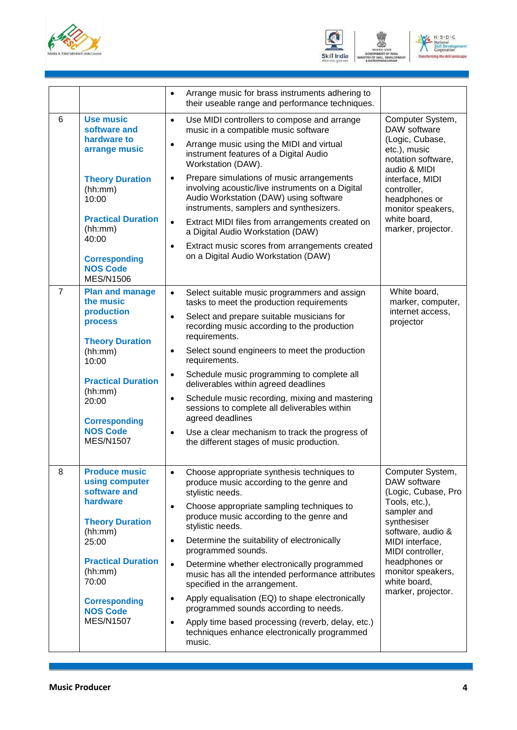



|                |                                                                                                                                                                                                                                  | Arrange music for brass instruments adhering to<br>$\bullet$<br>their useable range and performance techniques.                                                                                                                                                                                                                                                                                                                                                                                                                                                                                                                                                                                               |                                                                                                                                                                                                                                                |  |
|----------------|----------------------------------------------------------------------------------------------------------------------------------------------------------------------------------------------------------------------------------|---------------------------------------------------------------------------------------------------------------------------------------------------------------------------------------------------------------------------------------------------------------------------------------------------------------------------------------------------------------------------------------------------------------------------------------------------------------------------------------------------------------------------------------------------------------------------------------------------------------------------------------------------------------------------------------------------------------|------------------------------------------------------------------------------------------------------------------------------------------------------------------------------------------------------------------------------------------------|--|
| 6              | <b>Use music</b><br>software and<br>hardware to<br>arrange music<br><b>Theory Duration</b><br>(hh:mm)<br>10:00<br><b>Practical Duration</b><br>(hh:mm)<br>40:00<br><b>Corresponding</b><br><b>NOS Code</b><br><b>MES/N1506</b>   | Use MIDI controllers to compose and arrange<br>$\bullet$<br>music in a compatible music software<br>Arrange music using the MIDI and virtual<br>$\bullet$<br>instrument features of a Digital Audio<br>Workstation (DAW).<br>Prepare simulations of music arrangements<br>$\bullet$<br>involving acoustic/live instruments on a Digital<br>Audio Workstation (DAW) using software<br>instruments, samplers and synthesizers.<br>Extract MIDI files from arrangements created on<br>$\bullet$<br>a Digital Audio Workstation (DAW)<br>Extract music scores from arrangements created<br>$\bullet$<br>on a Digital Audio Workstation (DAW)                                                                      | Computer System,<br>DAW software<br>(Logic, Cubase,<br>etc.), music<br>notation software,<br>audio & MIDI<br>interface, MIDI<br>controller,<br>headphones or<br>monitor speakers,<br>white board,<br>marker, projector.                        |  |
| $\overline{7}$ | <b>Plan and manage</b><br>the music<br>production<br>process<br><b>Theory Duration</b><br>(hh:mm)<br>10:00<br><b>Practical Duration</b><br>(hh:mm)<br>20:00<br><b>Corresponding</b><br><b>NOS Code</b><br><b>MES/N1507</b>       | $\bullet$<br>Select suitable music programmers and assign<br>tasks to meet the production requirements<br>Select and prepare suitable musicians for<br>$\bullet$<br>recording music according to the production<br>requirements.<br>Select sound engineers to meet the production<br>$\bullet$<br>requirements.<br>Schedule music programming to complete all<br>$\bullet$<br>deliverables within agreed deadlines<br>Schedule music recording, mixing and mastering<br>$\bullet$<br>sessions to complete all deliverables within<br>agreed deadlines<br>Use a clear mechanism to track the progress of<br>$\bullet$<br>the different stages of music production.                                             | White board,<br>marker, computer,<br>internet access,<br>projector                                                                                                                                                                             |  |
| 8              | <b>Produce music</b><br>using computer<br>software and<br>hardware<br><b>Theory Duration</b><br>(hh:mm)<br>25:00<br><b>Practical Duration</b><br>(hh:mm)<br>70:00<br><b>Corresponding</b><br><b>NOS Code</b><br><b>MES/N1507</b> | Choose appropriate synthesis techniques to<br>produce music according to the genre and<br>stylistic needs.<br>Choose appropriate sampling techniques to<br>$\bullet$<br>produce music according to the genre and<br>stylistic needs.<br>Determine the suitability of electronically<br>$\bullet$<br>programmed sounds.<br>Determine whether electronically programmed<br>$\bullet$<br>music has all the intended performance attributes<br>specified in the arrangement.<br>Apply equalisation (EQ) to shape electronically<br>$\bullet$<br>programmed sounds according to needs.<br>Apply time based processing (reverb, delay, etc.)<br>$\bullet$<br>techniques enhance electronically programmed<br>music. | Computer System,<br>DAW software<br>(Logic, Cubase, Pro<br>Tools, etc.),<br>sampler and<br>synthesiser<br>software, audio &<br>MIDI interface,<br>MIDI controller,<br>headphones or<br>monitor speakers,<br>white board,<br>marker, projector. |  |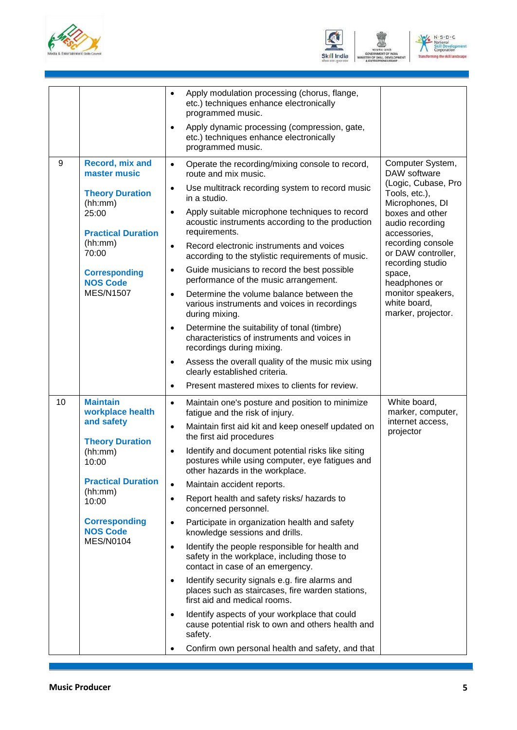





|    |                                                                                                                                                                                                                 | Apply modulation processing (chorus, flange,<br>$\bullet$<br>etc.) techniques enhance electronically<br>programmed music.<br>Apply dynamic processing (compression, gate,<br>$\bullet$<br>etc.) techniques enhance electronically<br>programmed music.                                                                                                                                                                                                                                                                                                                                                                                                                                                                                                                                                                                                                                                                                                                                                                                                                                   |                                                                                                                                                                                                                                                                                                        |
|----|-----------------------------------------------------------------------------------------------------------------------------------------------------------------------------------------------------------------|------------------------------------------------------------------------------------------------------------------------------------------------------------------------------------------------------------------------------------------------------------------------------------------------------------------------------------------------------------------------------------------------------------------------------------------------------------------------------------------------------------------------------------------------------------------------------------------------------------------------------------------------------------------------------------------------------------------------------------------------------------------------------------------------------------------------------------------------------------------------------------------------------------------------------------------------------------------------------------------------------------------------------------------------------------------------------------------|--------------------------------------------------------------------------------------------------------------------------------------------------------------------------------------------------------------------------------------------------------------------------------------------------------|
| 9  | Record, mix and<br>master music<br><b>Theory Duration</b><br>(hh:mm)<br>25:00<br><b>Practical Duration</b><br>(hh:mm)<br>70:00<br><b>Corresponding</b><br><b>NOS Code</b><br><b>MES/N1507</b>                   | Operate the recording/mixing console to record,<br>$\bullet$<br>route and mix music.<br>Use multitrack recording system to record music<br>$\bullet$<br>in a studio.<br>Apply suitable microphone techniques to record<br>$\bullet$<br>acoustic instruments according to the production<br>requirements.<br>Record electronic instruments and voices<br>$\bullet$<br>according to the stylistic requirements of music.<br>Guide musicians to record the best possible<br>$\bullet$<br>performance of the music arrangement.<br>Determine the volume balance between the<br>$\bullet$<br>various instruments and voices in recordings<br>during mixing.<br>Determine the suitability of tonal (timbre)<br>$\bullet$<br>characteristics of instruments and voices in<br>recordings during mixing.<br>Assess the overall quality of the music mix using<br>$\bullet$<br>clearly established criteria.<br>Present mastered mixes to clients for review.<br>$\bullet$                                                                                                                         | Computer System,<br>DAW software<br>(Logic, Cubase, Pro<br>Tools, etc.),<br>Microphones, DI<br>boxes and other<br>audio recording<br>accessories,<br>recording console<br>or DAW controller,<br>recording studio<br>space,<br>headphones or<br>monitor speakers,<br>white board,<br>marker, projector. |
| 10 | <b>Maintain</b><br>workplace health<br>and safety<br><b>Theory Duration</b><br>(hh:mm)<br>10:00<br><b>Practical Duration</b><br>(hh:mm)<br>10:00<br><b>Corresponding</b><br><b>NOS Code</b><br><b>MES/N0104</b> | Maintain one's posture and position to minimize<br>$\bullet$<br>fatigue and the risk of injury.<br>Maintain first aid kit and keep oneself updated on<br>$\bullet$<br>the first aid procedures<br>Identify and document potential risks like siting<br>$\bullet$<br>postures while using computer, eye fatigues and<br>other hazards in the workplace.<br>Maintain accident reports.<br>$\bullet$<br>Report health and safety risks/ hazards to<br>$\bullet$<br>concerned personnel.<br>Participate in organization health and safety<br>$\bullet$<br>knowledge sessions and drills.<br>Identify the people responsible for health and<br>$\bullet$<br>safety in the workplace, including those to<br>contact in case of an emergency.<br>Identify security signals e.g. fire alarms and<br>$\bullet$<br>places such as staircases, fire warden stations,<br>first aid and medical rooms.<br>Identify aspects of your workplace that could<br>$\bullet$<br>cause potential risk to own and others health and<br>safety.<br>Confirm own personal health and safety, and that<br>$\bullet$ | White board,<br>marker, computer,<br>internet access,<br>projector                                                                                                                                                                                                                                     |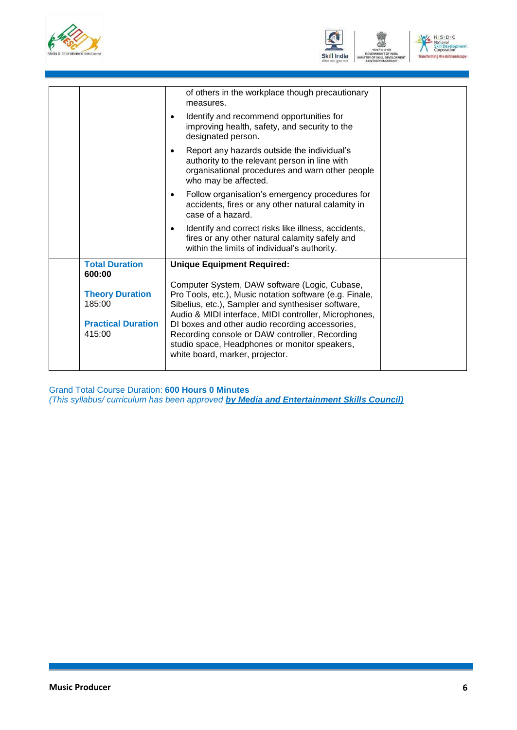



| $N \cdot S \cdot D \cdot C$<br>National |
|-----------------------------------------|
| <b>Skill Development</b><br>Corporation |
| <b>Transforming the skill landscape</b> |

|                                 | of others in the workplace though precautionary<br>measures.                                                                                                                         |  |
|---------------------------------|--------------------------------------------------------------------------------------------------------------------------------------------------------------------------------------|--|
|                                 | Identify and recommend opportunities for<br>$\bullet$<br>improving health, safety, and security to the<br>designated person.                                                         |  |
|                                 | Report any hazards outside the individual's<br>$\bullet$<br>authority to the relevant person in line with<br>organisational procedures and warn other people<br>who may be affected. |  |
|                                 | Follow organisation's emergency procedures for<br>$\bullet$<br>accidents, fires or any other natural calamity in<br>case of a hazard.                                                |  |
|                                 | Identify and correct risks like illness, accidents,<br>$\bullet$<br>fires or any other natural calamity safely and<br>within the limits of individual's authority.                   |  |
| <b>Total Duration</b><br>600:00 | <b>Unique Equipment Required:</b>                                                                                                                                                    |  |
|                                 | Computer System, DAW software (Logic, Cubase,                                                                                                                                        |  |
| <b>Theory Duration</b>          | Pro Tools, etc.), Music notation software (e.g. Finale,                                                                                                                              |  |
| 185:00                          | Sibelius, etc.), Sampler and synthesiser software,<br>Audio & MIDI interface, MIDI controller, Microphones,                                                                          |  |
| <b>Practical Duration</b>       | DI boxes and other audio recording accessories,                                                                                                                                      |  |
| 415:00                          | Recording console or DAW controller, Recording<br>studio space, Headphones or monitor speakers,<br>white board, marker, projector.                                                   |  |
|                                 |                                                                                                                                                                                      |  |

Grand Total Course Duration: **600 Hours 0 Minutes**

*(This syllabus/ curriculum has been approved by Media and Entertainment Skills Council)*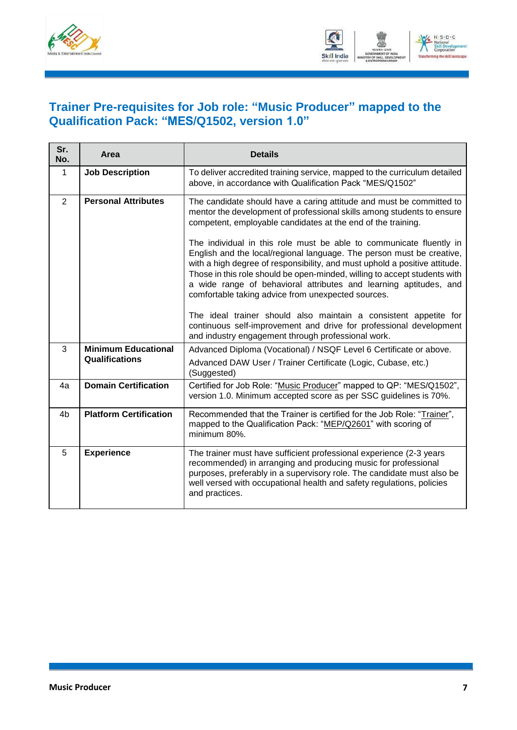



#### <span id="page-9-0"></span>**Trainer Pre-requisites for Job role: "Music Producer" mapped to the Qualification Pack: "MES/Q1502, version 1.0"**

| Sr.<br>No.                      | Area                                         | <b>Details</b>                                                                                                                                                                                                                                                                                                                                                                                                                     |
|---------------------------------|----------------------------------------------|------------------------------------------------------------------------------------------------------------------------------------------------------------------------------------------------------------------------------------------------------------------------------------------------------------------------------------------------------------------------------------------------------------------------------------|
| 1                               | <b>Job Description</b>                       | To deliver accredited training service, mapped to the curriculum detailed<br>above, in accordance with Qualification Pack "MES/Q1502"                                                                                                                                                                                                                                                                                              |
| <b>Personal Attributes</b><br>2 |                                              | The candidate should have a caring attitude and must be committed to<br>mentor the development of professional skills among students to ensure<br>competent, employable candidates at the end of the training.                                                                                                                                                                                                                     |
|                                 |                                              | The individual in this role must be able to communicate fluently in<br>English and the local/regional language. The person must be creative,<br>with a high degree of responsibility, and must uphold a positive attitude.<br>Those in this role should be open-minded, willing to accept students with<br>a wide range of behavioral attributes and learning aptitudes, and<br>comfortable taking advice from unexpected sources. |
|                                 |                                              | The ideal trainer should also maintain a consistent appetite for<br>continuous self-improvement and drive for professional development<br>and industry engagement through professional work.                                                                                                                                                                                                                                       |
| 3                               | <b>Minimum Educational</b><br>Qualifications | Advanced Diploma (Vocational) / NSQF Level 6 Certificate or above.<br>Advanced DAW User / Trainer Certificate (Logic, Cubase, etc.)<br>(Suggested)                                                                                                                                                                                                                                                                                 |
| 4a                              | <b>Domain Certification</b>                  | Certified for Job Role: "Music Producer" mapped to QP: "MES/Q1502",<br>version 1.0. Minimum accepted score as per SSC guidelines is 70%.                                                                                                                                                                                                                                                                                           |
| 4 <sub>b</sub>                  | <b>Platform Certification</b>                | Recommended that the Trainer is certified for the Job Role: "Trainer",<br>mapped to the Qualification Pack: "MEP/Q2601" with scoring of<br>minimum 80%.                                                                                                                                                                                                                                                                            |
| 5                               | <b>Experience</b>                            | The trainer must have sufficient professional experience (2-3 years<br>recommended) in arranging and producing music for professional<br>purposes, preferably in a supervisory role. The candidate must also be<br>well versed with occupational health and safety regulations, policies<br>and practices.                                                                                                                         |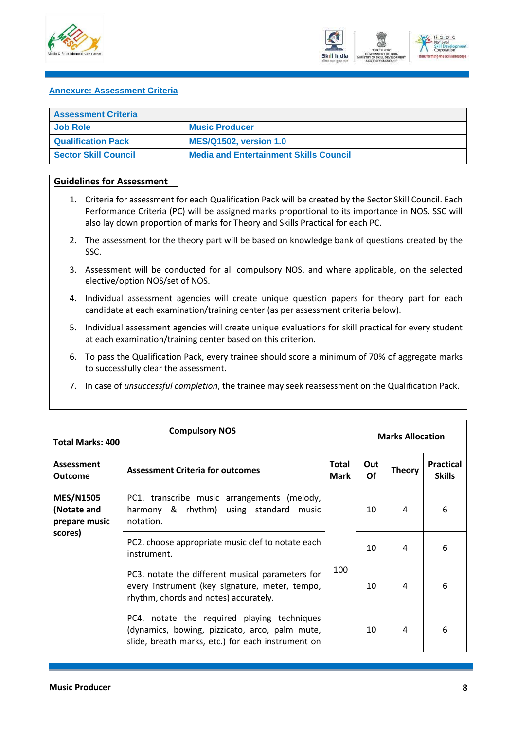



#### <span id="page-10-0"></span>**Annexure: Assessment Criteria**

| <b>Assessment Criteria</b>  |                                               |  |
|-----------------------------|-----------------------------------------------|--|
| Job Role                    | <b>Music Producer</b>                         |  |
| <b>Qualification Pack</b>   | <b>MES/Q1502, version 1.0</b>                 |  |
| <b>Sector Skill Council</b> | <b>Media and Entertainment Skills Council</b> |  |

#### **Guidelines for Assessment**

- 1. Criteria for assessment for each Qualification Pack will be created by the Sector Skill Council. Each Performance Criteria (PC) will be assigned marks proportional to its importance in NOS. SSC will also lay down proportion of marks for Theory and Skills Practical for each PC.
- 2. The assessment for the theory part will be based on knowledge bank of questions created by the SSC.
- 3. Assessment will be conducted for all compulsory NOS, and where applicable, on the selected elective/option NOS/set of NOS.
- 4. Individual assessment agencies will create unique question papers for theory part for each candidate at each examination/training center (as per assessment criteria below).
- 5. Individual assessment agencies will create unique evaluations for skill practical for every student at each examination/training center based on this criterion.
- 6. To pass the Qualification Pack, every trainee should score a minimum of 70% of aggregate marks to successfully clear the assessment.
- 7. In case of *unsuccessful completion*, the trainee may seek reassessment on the Qualification Pack.

| <b>Compulsory NOS</b><br><b>Total Marks: 400</b> |                                                                                                                                                    |                      | <b>Marks Allocation</b> |               |                                   |
|--------------------------------------------------|----------------------------------------------------------------------------------------------------------------------------------------------------|----------------------|-------------------------|---------------|-----------------------------------|
| <b>Assessment</b><br><b>Outcome</b>              | <b>Assessment Criteria for outcomes</b>                                                                                                            | Total<br><b>Mark</b> | Out<br>Of               | <b>Theory</b> | <b>Practical</b><br><b>Skills</b> |
| <b>MES/N1505</b><br>(Notate and<br>prepare music | PC1. transcribe music arrangements (melody,<br>harmony & rhythm) using standard music<br>notation.                                                 | 100                  | 10                      | 4             | 6                                 |
| scores)                                          | PC2. choose appropriate music clef to notate each<br>instrument.                                                                                   |                      | 10                      | 4             | 6                                 |
|                                                  | PC3. notate the different musical parameters for<br>every instrument (key signature, meter, tempo,<br>rhythm, chords and notes) accurately.        |                      | 10                      | 4             | 6                                 |
|                                                  | PC4. notate the required playing techniques<br>(dynamics, bowing, pizzicato, arco, palm mute,<br>slide, breath marks, etc.) for each instrument on |                      | 10                      | 4             | 6                                 |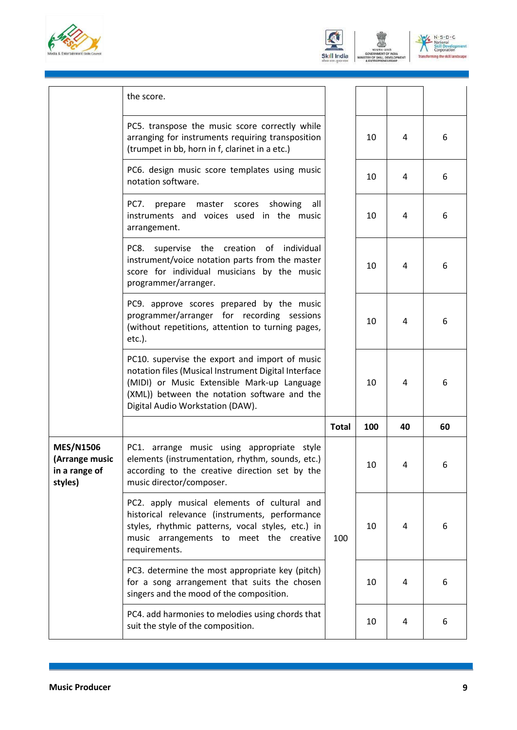





|                                                                | the score.                                                                                                                                                                                                     |              |     |    |    |
|----------------------------------------------------------------|----------------------------------------------------------------------------------------------------------------------------------------------------------------------------------------------------------------|--------------|-----|----|----|
|                                                                | PC5. transpose the music score correctly while<br>arranging for instruments requiring transposition<br>(trumpet in bb, horn in f, clarinet in a etc.)                                                          |              | 10  | 4  | 6  |
|                                                                | PC6. design music score templates using music<br>notation software.                                                                                                                                            |              | 10  | 4  | 6  |
|                                                                | PC7.<br>master scores showing<br>prepare<br>all<br>instruments and voices used in the music<br>arrangement.                                                                                                    |              | 10  | 4  | 6  |
|                                                                | supervise the creation of individual<br>PC8.<br>instrument/voice notation parts from the master<br>score for individual musicians by the music<br>programmer/arranger.                                         |              | 10  | 4  | 6  |
|                                                                | PC9. approve scores prepared by the music<br>programmer/arranger for recording sessions<br>(without repetitions, attention to turning pages,<br>$etc.$ ).                                                      |              | 10  | 4  | 6  |
|                                                                | PC10. supervise the export and import of music<br>notation files (Musical Instrument Digital Interface<br>(MIDI) or Music Extensible Mark-up Language<br>(XML)) between the notation software and the          |              | 10  | 4  | 6  |
|                                                                | Digital Audio Workstation (DAW).                                                                                                                                                                               |              |     |    |    |
|                                                                |                                                                                                                                                                                                                | <b>Total</b> | 100 | 40 | 60 |
| <b>MES/N1506</b><br>(Arrange music<br>in a range of<br>styles) | PC1. arrange music using appropriate style<br>elements (instrumentation, rhythm, sounds, etc.)<br>according to the creative direction set by the<br>music director/composer.                                   |              | 10  | 4  | 6  |
|                                                                | PC2. apply musical elements of cultural and<br>historical relevance (instruments, performance<br>styles, rhythmic patterns, vocal styles, etc.) in<br>music arrangements to meet the creative<br>requirements. | 100          | 10  | 4  | 6  |
|                                                                | PC3. determine the most appropriate key (pitch)<br>for a song arrangement that suits the chosen<br>singers and the mood of the composition.                                                                    |              | 10  | 4  | 6  |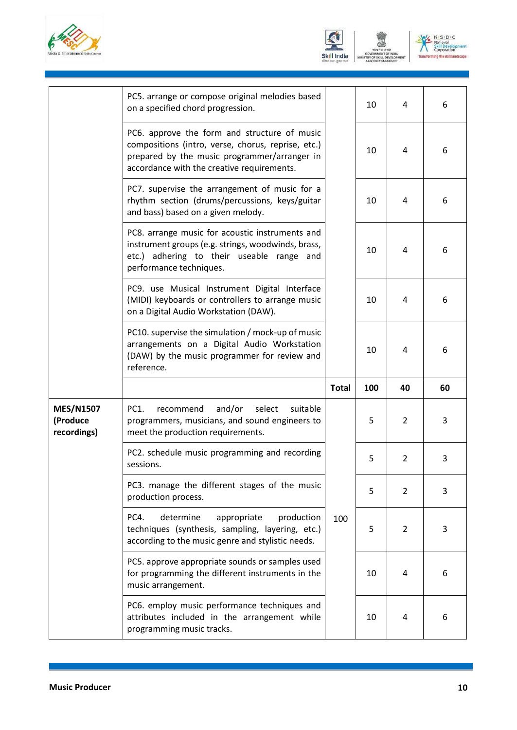



N. S. D. C.<br>National<br>Skill Develop<br>Corporation ng the skill la

|                                             | PC5. arrange or compose original melodies based<br>on a specified chord progression.                                                                                                             |              | 10  | 4              | 6  |
|---------------------------------------------|--------------------------------------------------------------------------------------------------------------------------------------------------------------------------------------------------|--------------|-----|----------------|----|
|                                             | PC6. approve the form and structure of music<br>compositions (intro, verse, chorus, reprise, etc.)<br>prepared by the music programmer/arranger in<br>accordance with the creative requirements. |              | 10  | 4              | 6  |
|                                             | PC7. supervise the arrangement of music for a<br>rhythm section (drums/percussions, keys/guitar<br>and bass) based on a given melody.                                                            |              | 10  | 4              | 6  |
|                                             | PC8. arrange music for acoustic instruments and<br>instrument groups (e.g. strings, woodwinds, brass,<br>etc.) adhering to their useable range and<br>performance techniques.                    |              | 10  | 4              | 6  |
|                                             | PC9. use Musical Instrument Digital Interface<br>(MIDI) keyboards or controllers to arrange music<br>on a Digital Audio Workstation (DAW).                                                       |              | 10  | 4              | 6  |
|                                             | PC10. supervise the simulation / mock-up of music<br>arrangements on a Digital Audio Workstation<br>(DAW) by the music programmer for review and                                                 |              | 10  | 4              | 6  |
|                                             | reference.                                                                                                                                                                                       |              |     |                |    |
|                                             |                                                                                                                                                                                                  | <b>Total</b> | 100 | 40             | 60 |
| <b>MES/N1507</b><br>(Produce<br>recordings) | PC1.<br>and/or<br>select<br>suitable<br>recommend<br>programmers, musicians, and sound engineers to<br>meet the production requirements.                                                         |              | 5   | $\overline{2}$ | 3  |
|                                             | PC2. schedule music programming and recording<br>sessions.                                                                                                                                       |              | 5   | $\overline{2}$ | 3  |
|                                             | PC3. manage the different stages of the music<br>production process.                                                                                                                             |              | 5   | $\overline{2}$ | 3  |
|                                             | PC4.<br>determine<br>appropriate<br>production<br>techniques (synthesis, sampling, layering, etc.)<br>according to the music genre and stylistic needs.                                          | 100          | 5   | $\overline{2}$ | 3  |
|                                             | PC5. approve appropriate sounds or samples used<br>for programming the different instruments in the<br>music arrangement.                                                                        |              | 10  | 4              | 6  |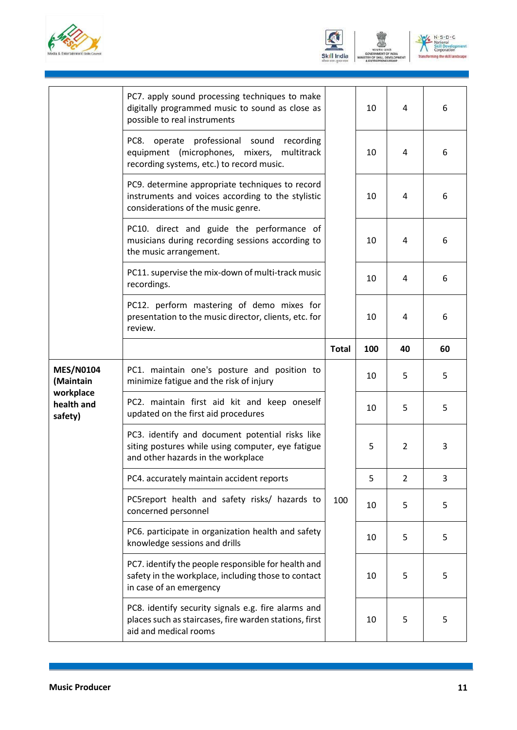





|                                                                     | PC7. apply sound processing techniques to make<br>digitally programmed music to sound as close as<br>possible to real instruments          |              | 10  | 4              | 6  |
|---------------------------------------------------------------------|--------------------------------------------------------------------------------------------------------------------------------------------|--------------|-----|----------------|----|
|                                                                     | PC8. operate professional sound<br>recording<br>equipment (microphones, mixers,<br>multitrack<br>recording systems, etc.) to record music. |              | 10  | 4              | 6  |
|                                                                     | PC9. determine appropriate techniques to record<br>instruments and voices according to the stylistic<br>considerations of the music genre. |              | 10  | 4              | 6  |
|                                                                     | PC10. direct and guide the performance of<br>musicians during recording sessions according to<br>the music arrangement.                    |              | 10  | 4              | 6  |
|                                                                     | PC11. supervise the mix-down of multi-track music<br>recordings.                                                                           |              | 10  | 4              | 6  |
|                                                                     | PC12. perform mastering of demo mixes for<br>presentation to the music director, clients, etc. for<br>review.                              |              | 10  | 4              | 6  |
|                                                                     |                                                                                                                                            | <b>Total</b> | 100 | 40             | 60 |
| <b>MES/N0104</b><br>(Maintain<br>workplace<br>health and<br>safety) | PC1. maintain one's posture and position to<br>minimize fatigue and the risk of injury                                                     |              | 10  | 5              | 5  |
|                                                                     | PC2. maintain first aid kit and keep oneself<br>updated on the first aid procedures                                                        |              | 10  | 5              | 5  |
|                                                                     |                                                                                                                                            |              |     |                |    |
|                                                                     | PC3. identify and document potential risks like<br>siting postures while using computer, eye fatigue<br>and other hazards in the workplace |              | 5   | $\overline{2}$ | 3  |
|                                                                     | PC4. accurately maintain accident reports                                                                                                  |              | 5   | $\overline{2}$ | 3  |
|                                                                     | PC5report health and safety risks/ hazards to<br>concerned personnel                                                                       | 100          | 10  | 5              | 5  |
|                                                                     | PC6. participate in organization health and safety<br>knowledge sessions and drills                                                        |              | 10  | 5              | 5  |
|                                                                     | PC7. identify the people responsible for health and<br>safety in the workplace, including those to contact<br>in case of an emergency      |              | 10  | 5              | 5  |